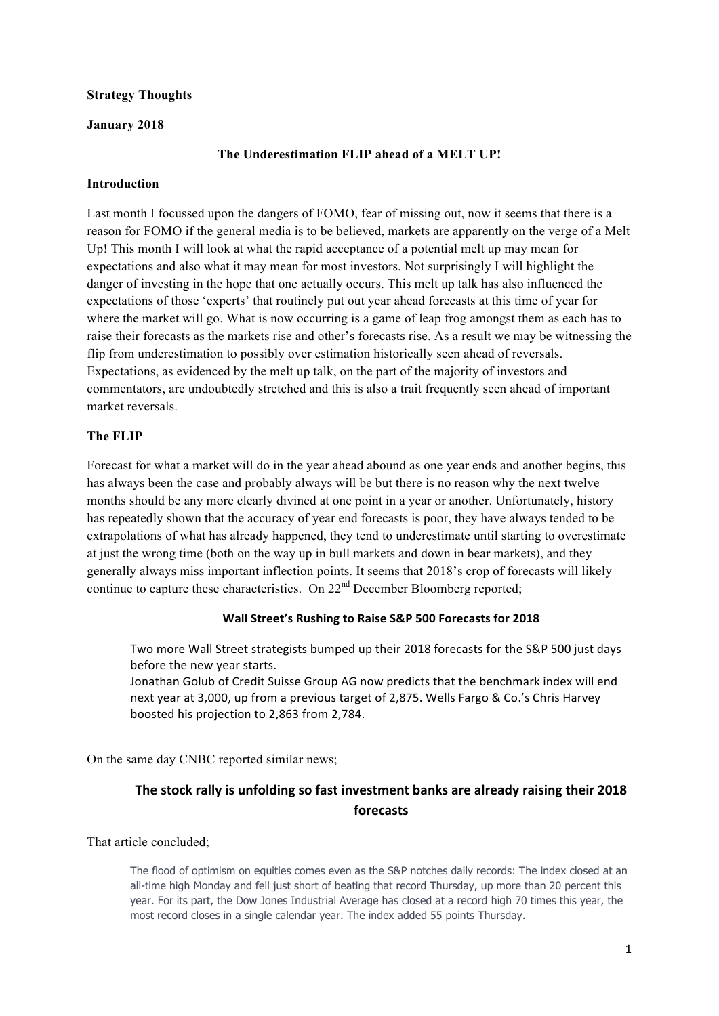### **Strategy Thoughts**

### **January 2018**

### **The Underestimation FLIP ahead of a MELT UP!**

#### **Introduction**

Last month I focussed upon the dangers of FOMO, fear of missing out, now it seems that there is a reason for FOMO if the general media is to be believed, markets are apparently on the verge of a Melt Up! This month I will look at what the rapid acceptance of a potential melt up may mean for expectations and also what it may mean for most investors. Not surprisingly I will highlight the danger of investing in the hope that one actually occurs. This melt up talk has also influenced the expectations of those 'experts' that routinely put out year ahead forecasts at this time of year for where the market will go. What is now occurring is a game of leap frog amongst them as each has to raise their forecasts as the markets rise and other's forecasts rise. As a result we may be witnessing the flip from underestimation to possibly over estimation historically seen ahead of reversals. Expectations, as evidenced by the melt up talk, on the part of the majority of investors and commentators, are undoubtedly stretched and this is also a trait frequently seen ahead of important market reversals.

### **The FLIP**

Forecast for what a market will do in the year ahead abound as one year ends and another begins, this has always been the case and probably always will be but there is no reason why the next twelve months should be any more clearly divined at one point in a year or another. Unfortunately, history has repeatedly shown that the accuracy of year end forecasts is poor, they have always tended to be extrapolations of what has already happened, they tend to underestimate until starting to overestimate at just the wrong time (both on the way up in bull markets and down in bear markets), and they generally always miss important inflection points. It seems that 2018's crop of forecasts will likely continue to capture these characteristics. On  $22<sup>nd</sup>$  December Bloomberg reported;

#### Wall Street's Rushing to Raise S&P 500 Forecasts for 2018

Two more Wall Street strategists bumped up their 2018 forecasts for the S&P 500 just days before the new year starts.

Jonathan Golub of Credit Suisse Group AG now predicts that the benchmark index will end next year at 3,000, up from a previous target of 2,875. Wells Fargo & Co.'s Chris Harvey boosted his projection to 2,863 from 2,784.

On the same day CNBC reported similar news;

# The stock rally is unfolding so fast investment banks are already raising their 2018 **forecasts**

That article concluded;

The flood of optimism on equities comes even as the S&P notches daily records: The index closed at an all-time high Monday and fell just short of beating that record Thursday, up more than 20 percent this year. For its part, the Dow Jones Industrial Average has closed at a record high 70 times this year, the most record closes in a single calendar year. The index added 55 points Thursday.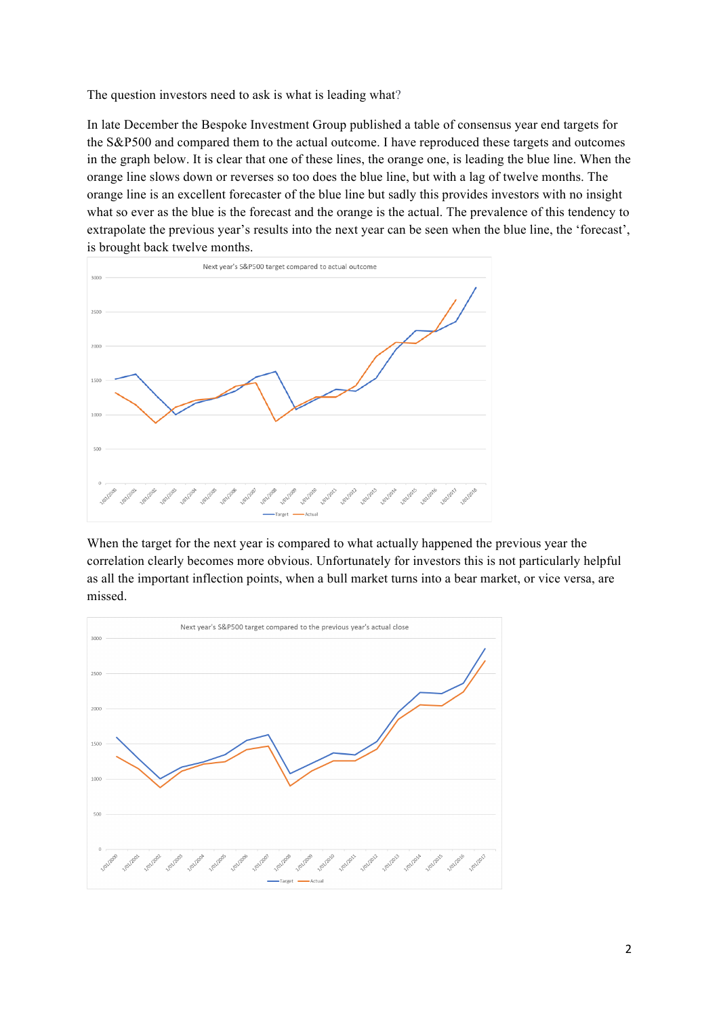The question investors need to ask is what is leading what?

In late December the Bespoke Investment Group published a table of consensus year end targets for the S&P500 and compared them to the actual outcome. I have reproduced these targets and outcomes in the graph below. It is clear that one of these lines, the orange one, is leading the blue line. When the orange line slows down or reverses so too does the blue line, but with a lag of twelve months. The orange line is an excellent forecaster of the blue line but sadly this provides investors with no insight what so ever as the blue is the forecast and the orange is the actual. The prevalence of this tendency to extrapolate the previous year's results into the next year can be seen when the blue line, the 'forecast', is brought back twelve months.



When the target for the next year is compared to what actually happened the previous year the correlation clearly becomes more obvious. Unfortunately for investors this is not particularly helpful as all the important inflection points, when a bull market turns into a bear market, or vice versa, are missed.

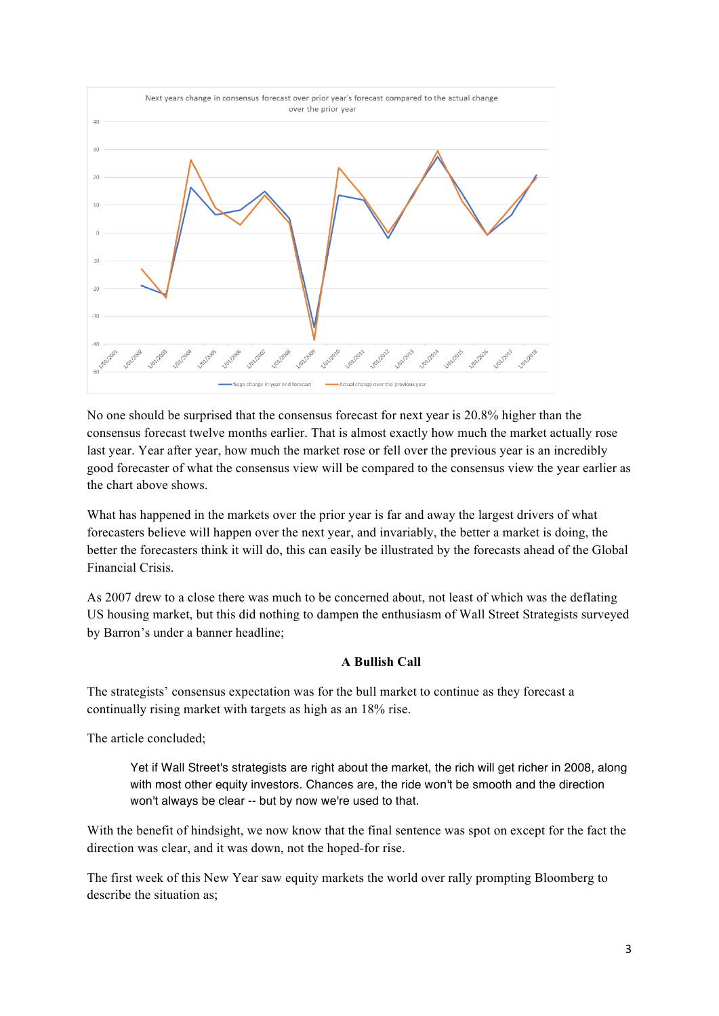

No one should be surprised that the consensus forecast for next year is 20.8% higher than the consensus forecast twelve months earlier. That is almost exactly how much the market actually rose last year. Year after year, how much the market rose or fell over the previous year is an incredibly good forecaster of what the consensus view will be compared to the consensus view the year earlier as the chart above shows.

What has happened in the markets over the prior year is far and away the largest drivers of what forecasters believe will happen over the next year, and invariably, the better a market is doing, the better the forecasters think it will do, this can easily be illustrated by the forecasts ahead of the Global Financial Crisis.

As 2007 drew to a close there was much to be concerned about, not least of which was the deflating US housing market, but this did nothing to dampen the enthusiasm of Wall Street Strategists surveyed by Barron's under a banner headline;

### **A Bullish Call**

The strategists' consensus expectation was for the bull market to continue as they forecast a continually rising market with targets as high as an 18% rise.

The article concluded;

Yet if Wall Street's strategists are right about the market, the rich will get richer in 2008, along with most other equity investors. Chances are, the ride won't be smooth and the direction won't always be clear -- but by now we're used to that.

With the benefit of hindsight, we now know that the final sentence was spot on except for the fact the direction was clear, and it was down, not the hoped-for rise.

The first week of this New Year saw equity markets the world over rally prompting Bloomberg to describe the situation as;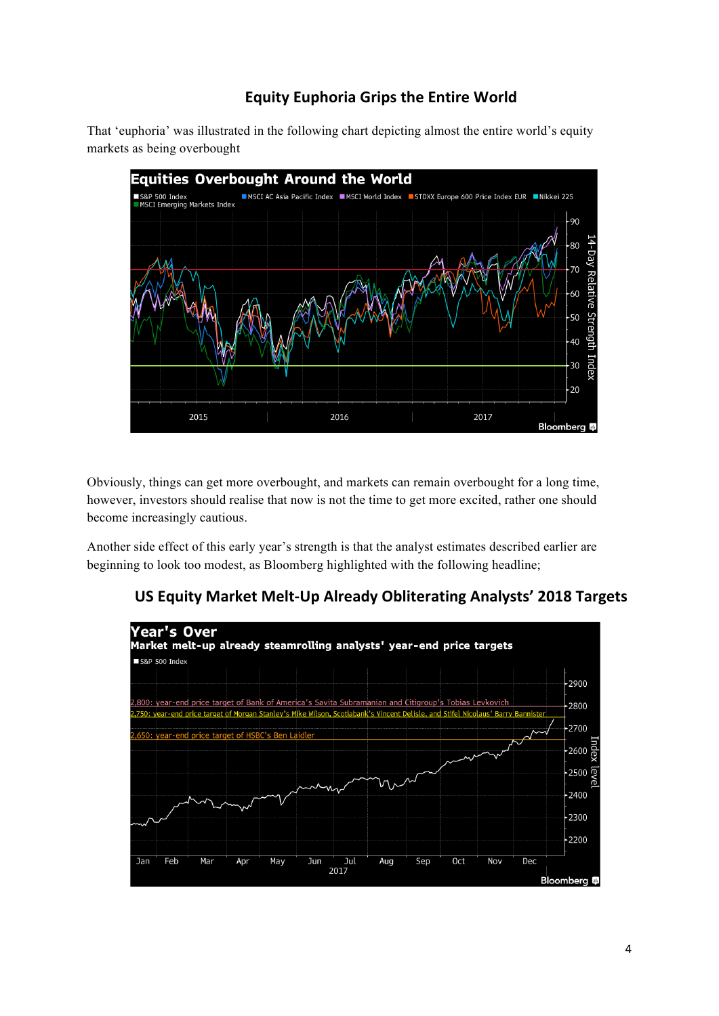# **Equity Euphoria Grips the Entire World**

That 'euphoria' was illustrated in the following chart depicting almost the entire world's equity markets as being overbought



Obviously, things can get more overbought, and markets can remain overbought for a long time, however, investors should realise that now is not the time to get more excited, rather one should become increasingly cautious.

Another side effect of this early year's strength is that the analyst estimates described earlier are beginning to look too modest, as Bloomberg highlighted with the following headline;

# **US Equity Market Melt-Up Already Obliterating Analysts' 2018 Targets**

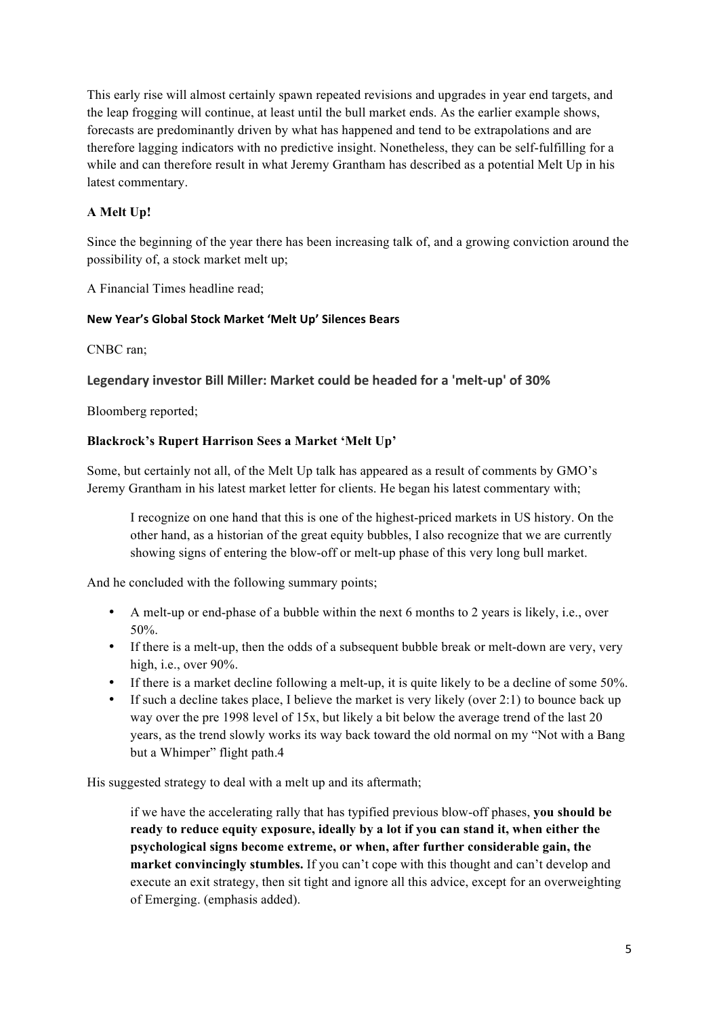This early rise will almost certainly spawn repeated revisions and upgrades in year end targets, and the leap frogging will continue, at least until the bull market ends. As the earlier example shows, forecasts are predominantly driven by what has happened and tend to be extrapolations and are therefore lagging indicators with no predictive insight. Nonetheless, they can be self-fulfilling for a while and can therefore result in what Jeremy Grantham has described as a potential Melt Up in his latest commentary.

## **A Melt Up!**

Since the beginning of the year there has been increasing talk of, and a growing conviction around the possibility of, a stock market melt up;

A Financial Times headline read;

### **New Year's Global Stock Market 'Melt Up' Silences Bears**

CNBC ran;

## **Legendary investor Bill Miller: Market could be headed for a 'melt-up' of 30%**

Bloomberg reported;

### **Blackrock's Rupert Harrison Sees a Market 'Melt Up'**

Some, but certainly not all, of the Melt Up talk has appeared as a result of comments by GMO's Jeremy Grantham in his latest market letter for clients. He began his latest commentary with;

I recognize on one hand that this is one of the highest-priced markets in US history. On the other hand, as a historian of the great equity bubbles, I also recognize that we are currently showing signs of entering the blow-off or melt-up phase of this very long bull market.

And he concluded with the following summary points;

- A melt-up or end-phase of a bubble within the next 6 months to 2 years is likely, i.e., over 50%.
- If there is a melt-up, then the odds of a subsequent bubble break or melt-down are very, very high, i.e., over 90%.
- If there is a market decline following a melt-up, it is quite likely to be a decline of some 50%.
- If such a decline takes place, I believe the market is very likely (over 2:1) to bounce back up way over the pre 1998 level of 15x, but likely a bit below the average trend of the last 20 years, as the trend slowly works its way back toward the old normal on my "Not with a Bang but a Whimper" flight path.4

His suggested strategy to deal with a melt up and its aftermath;

if we have the accelerating rally that has typified previous blow-off phases, **you should be ready to reduce equity exposure, ideally by a lot if you can stand it, when either the psychological signs become extreme, or when, after further considerable gain, the market convincingly stumbles.** If you can't cope with this thought and can't develop and execute an exit strategy, then sit tight and ignore all this advice, except for an overweighting of Emerging. (emphasis added).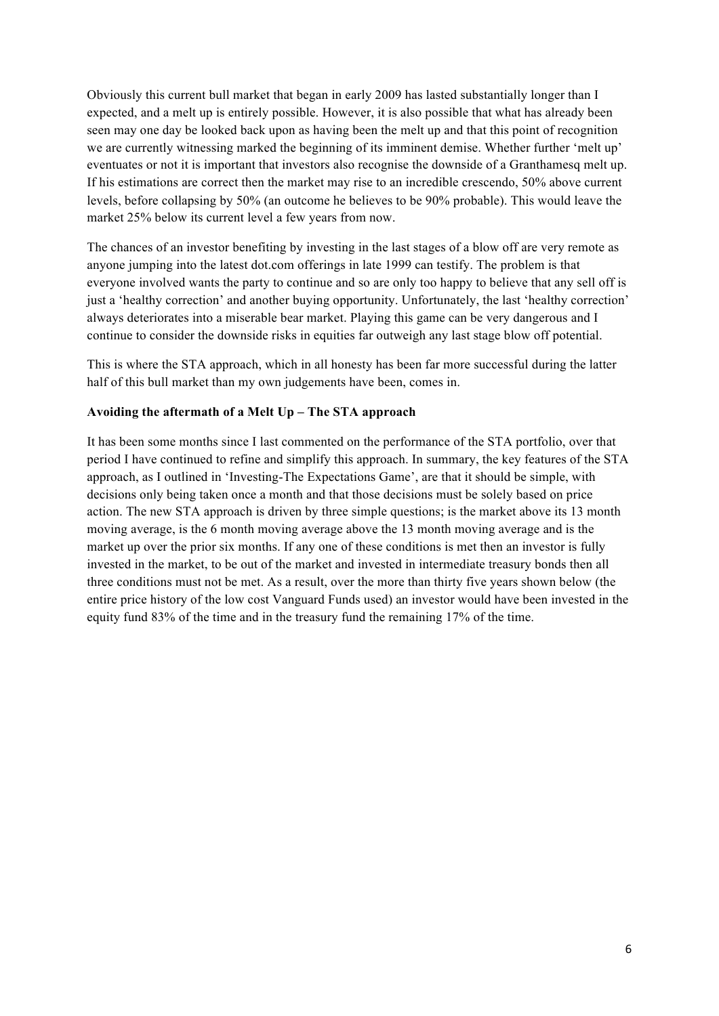Obviously this current bull market that began in early 2009 has lasted substantially longer than I expected, and a melt up is entirely possible. However, it is also possible that what has already been seen may one day be looked back upon as having been the melt up and that this point of recognition we are currently witnessing marked the beginning of its imminent demise. Whether further 'melt up' eventuates or not it is important that investors also recognise the downside of a Granthamesq melt up. If his estimations are correct then the market may rise to an incredible crescendo, 50% above current levels, before collapsing by 50% (an outcome he believes to be 90% probable). This would leave the market 25% below its current level a few years from now.

The chances of an investor benefiting by investing in the last stages of a blow off are very remote as anyone jumping into the latest dot.com offerings in late 1999 can testify. The problem is that everyone involved wants the party to continue and so are only too happy to believe that any sell off is just a 'healthy correction' and another buying opportunity. Unfortunately, the last 'healthy correction' always deteriorates into a miserable bear market. Playing this game can be very dangerous and I continue to consider the downside risks in equities far outweigh any last stage blow off potential.

This is where the STA approach, which in all honesty has been far more successful during the latter half of this bull market than my own judgements have been, comes in.

### **Avoiding the aftermath of a Melt Up – The STA approach**

It has been some months since I last commented on the performance of the STA portfolio, over that period I have continued to refine and simplify this approach. In summary, the key features of the STA approach, as I outlined in 'Investing-The Expectations Game', are that it should be simple, with decisions only being taken once a month and that those decisions must be solely based on price action. The new STA approach is driven by three simple questions; is the market above its 13 month moving average, is the 6 month moving average above the 13 month moving average and is the market up over the prior six months. If any one of these conditions is met then an investor is fully invested in the market, to be out of the market and invested in intermediate treasury bonds then all three conditions must not be met. As a result, over the more than thirty five years shown below (the entire price history of the low cost Vanguard Funds used) an investor would have been invested in the equity fund 83% of the time and in the treasury fund the remaining 17% of the time.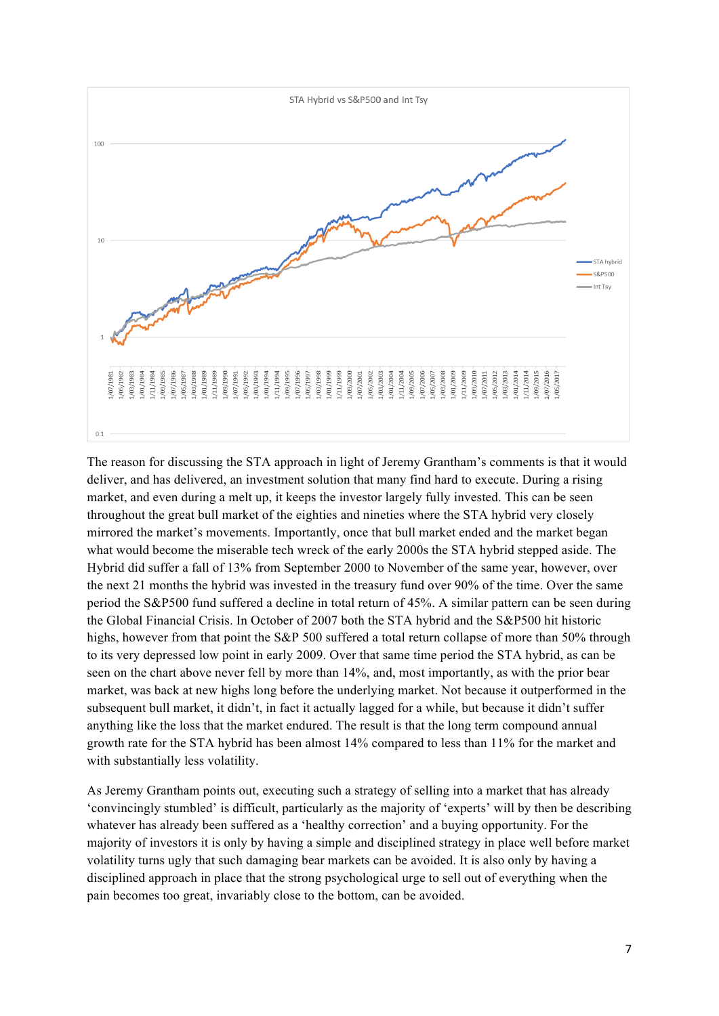

The reason for discussing the STA approach in light of Jeremy Grantham's comments is that it would deliver, and has delivered, an investment solution that many find hard to execute. During a rising market, and even during a melt up, it keeps the investor largely fully invested. This can be seen throughout the great bull market of the eighties and nineties where the STA hybrid very closely mirrored the market's movements. Importantly, once that bull market ended and the market began what would become the miserable tech wreck of the early 2000s the STA hybrid stepped aside. The Hybrid did suffer a fall of 13% from September 2000 to November of the same year, however, over the next 21 months the hybrid was invested in the treasury fund over 90% of the time. Over the same period the S&P500 fund suffered a decline in total return of 45%. A similar pattern can be seen during the Global Financial Crisis. In October of 2007 both the STA hybrid and the S&P500 hit historic highs, however from that point the S&P 500 suffered a total return collapse of more than 50% through to its very depressed low point in early 2009. Over that same time period the STA hybrid, as can be seen on the chart above never fell by more than 14%, and, most importantly, as with the prior bear market, was back at new highs long before the underlying market. Not because it outperformed in the subsequent bull market, it didn't, in fact it actually lagged for a while, but because it didn't suffer anything like the loss that the market endured. The result is that the long term compound annual growth rate for the STA hybrid has been almost 14% compared to less than 11% for the market and with substantially less volatility.

As Jeremy Grantham points out, executing such a strategy of selling into a market that has already 'convincingly stumbled' is difficult, particularly as the majority of 'experts' will by then be describing whatever has already been suffered as a 'healthy correction' and a buying opportunity. For the majority of investors it is only by having a simple and disciplined strategy in place well before market volatility turns ugly that such damaging bear markets can be avoided. It is also only by having a disciplined approach in place that the strong psychological urge to sell out of everything when the pain becomes too great, invariably close to the bottom, can be avoided.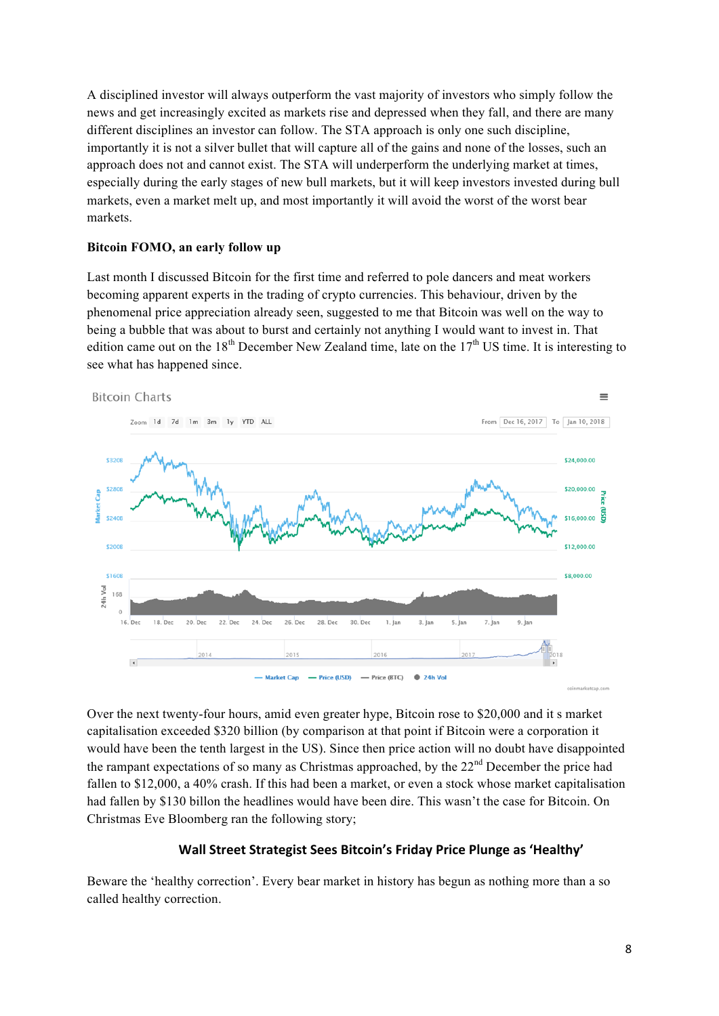A disciplined investor will always outperform the vast majority of investors who simply follow the news and get increasingly excited as markets rise and depressed when they fall, and there are many different disciplines an investor can follow. The STA approach is only one such discipline, importantly it is not a silver bullet that will capture all of the gains and none of the losses, such an approach does not and cannot exist. The STA will underperform the underlying market at times, especially during the early stages of new bull markets, but it will keep investors invested during bull markets, even a market melt up, and most importantly it will avoid the worst of the worst bear markets.

### **Bitcoin FOMO, an early follow up**

Last month I discussed Bitcoin for the first time and referred to pole dancers and meat workers becoming apparent experts in the trading of crypto currencies. This behaviour, driven by the phenomenal price appreciation already seen, suggested to me that Bitcoin was well on the way to being a bubble that was about to burst and certainly not anything I would want to invest in. That edition came out on the 18<sup>th</sup> December New Zealand time, late on the  $17<sup>th</sup>$  US time. It is interesting to see what has happened since.



Over the next twenty-four hours, amid even greater hype, Bitcoin rose to \$20,000 and it s market capitalisation exceeded \$320 billion (by comparison at that point if Bitcoin were a corporation it would have been the tenth largest in the US). Since then price action will no doubt have disappointed the rampant expectations of so many as Christmas approached, by the  $22<sup>nd</sup>$  December the price had fallen to \$12,000, a 40% crash. If this had been a market, or even a stock whose market capitalisation had fallen by \$130 billon the headlines would have been dire. This wasn't the case for Bitcoin. On Christmas Eve Bloomberg ran the following story;

### Wall Street Strategist Sees Bitcoin's Friday Price Plunge as 'Healthy'

Beware the 'healthy correction'. Every bear market in history has begun as nothing more than a so called healthy correction.